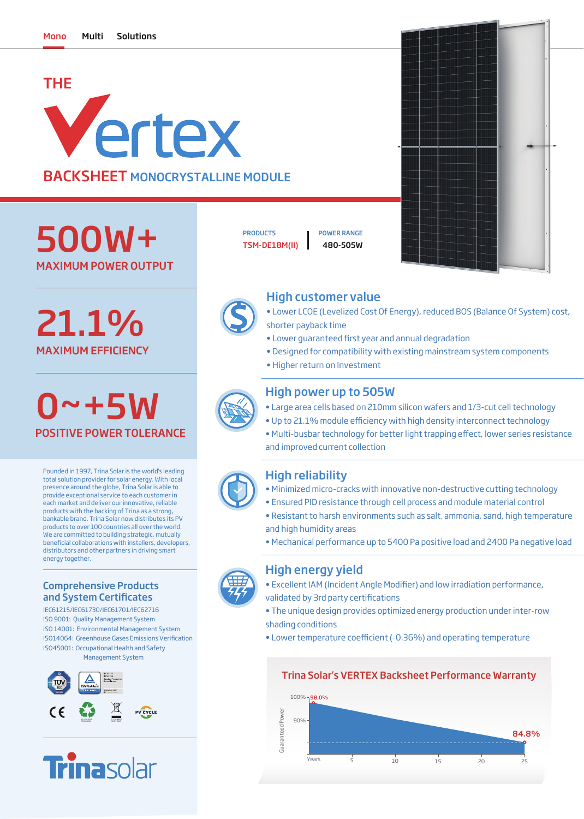# THE Vertex BACKSHEET MONOCRYSTALLINE MODULE

MAXIMUM POWER OUTPUT 500W+

MAXIMUM EFFICIENCY 21.1%

0~+5W POSITIVE POWER TOLERANCE

Founded in 1997, Trina Solar is the world's leading total solution provider for solar energy. With local presence around the globe, Trina Solar is able to provide exceptional service to each customer in each market and deliver our innovative, reliable products with the backing of Trina as a strong, bankable brand. Trina Solar now distributes its PV products to over 100 countries all over the world. We are committed to building strategic, mutually beneficial collaborations with installers, developers, distributors and other partners in driving smart energy together.

### Comprehensive Products and System Certificates

IEC61215/IEC61730/IEC61701/IEC62716 ISO 9001: Quality Management System ISO 14001: Environmental Management System ISO45001: Occupational Health and Safety Management System ISO14064: Greenhouse Gases Emissions Verification





TSM-DE18M(II) 480-505W PRODUCTS **I** POWER RANGE



## High customer value

- Lower LCOE (Levelized Cost Of Energy), reduced BOS (Balance Of System) cost, shorter payback time
- Lower quaranteed first year and annual degradation
- Designed for compatibility with existing mainstream system components
- Higher return on Investment

## High power up to 505W

- Large area cells based on 210mm silicon wafers and 1/3-cut cell technology
- Up to 21.1% module efficiency with high density interconnect technology
- Multi-busbar technology for better light trapping effect, lower series resistance and improved current collection

## High reliability

- Minimized micro-cracks with innovative non-destructive cutting technology
- Ensured PID resistance through cell process and module material control
- Resistant to harsh environments such as salt, ammonia, sand, high temperature and high humidity areas
- Mechanical performance up to 5400 Pa positive load and 2400 Pa negative load

# High energy yield

- Excellent IAM (Incident Angle Modifier) and low irradiation performance,
- validated by 3rd party certifications
- The unique design provides optimized energy production under inter-row shading conditions
- Lower temperature coefficient (-0.36%) and operating temperature

### Trina Solar's VERTEX Backsheet Performance Warranty